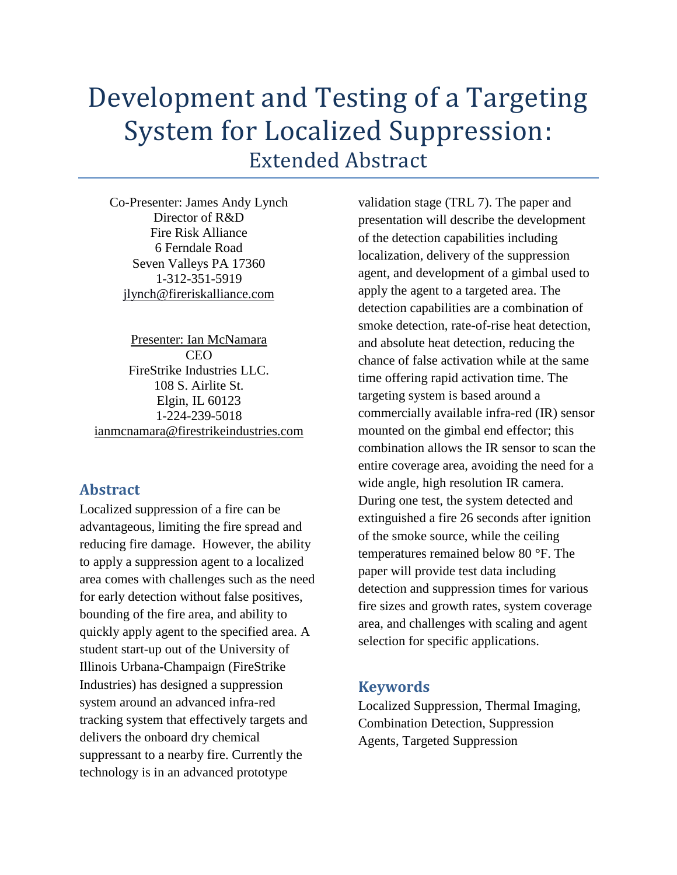# Development and Testing of a Targeting System for Localized Suppression: Extended Abstract

Co-Presenter: James Andy Lynch Director of R&D Fire Risk Alliance 6 Ferndale Road Seven Valleys PA 17360 1-312-351-5919 [jlynch@fireriskalliance.com](mailto:jlynch@fireriskalliance.com)

Presenter: Ian McNamara **CEO** FireStrike Industries LLC. 108 S. Airlite St. Elgin, IL 60123 1-224-239-5018 [ianmcnamara@firestrikeindustries.com](mailto:ianmcnamara@firestrikeindustries.com)

## **Abstract**

Localized suppression of a fire can be advantageous, limiting the fire spread and reducing fire damage. However, the ability to apply a suppression agent to a localized area comes with challenges such as the need for early detection without false positives, bounding of the fire area, and ability to quickly apply agent to the specified area. A student start-up out of the University of Illinois Urbana-Champaign (FireStrike Industries) has designed a suppression system around an advanced infra-red tracking system that effectively targets and delivers the onboard dry chemical suppressant to a nearby fire. Currently the technology is in an advanced prototype

validation stage (TRL 7). The paper and presentation will describe the development of the detection capabilities including localization, delivery of the suppression agent, and development of a gimbal used to apply the agent to a targeted area. The detection capabilities are a combination of smoke detection, rate-of-rise heat detection, and absolute heat detection, reducing the chance of false activation while at the same time offering rapid activation time. The targeting system is based around a commercially available infra-red (IR) sensor mounted on the gimbal end effector; this combination allows the IR sensor to scan the entire coverage area, avoiding the need for a wide angle, high resolution IR camera. During one test, the system detected and extinguished a fire 26 seconds after ignition of the smoke source, while the ceiling temperatures remained below 80 **°**F. The paper will provide test data including detection and suppression times for various fire sizes and growth rates, system coverage area, and challenges with scaling and agent selection for specific applications.

## **Keywords**

Localized Suppression, Thermal Imaging, Combination Detection, Suppression Agents, Targeted Suppression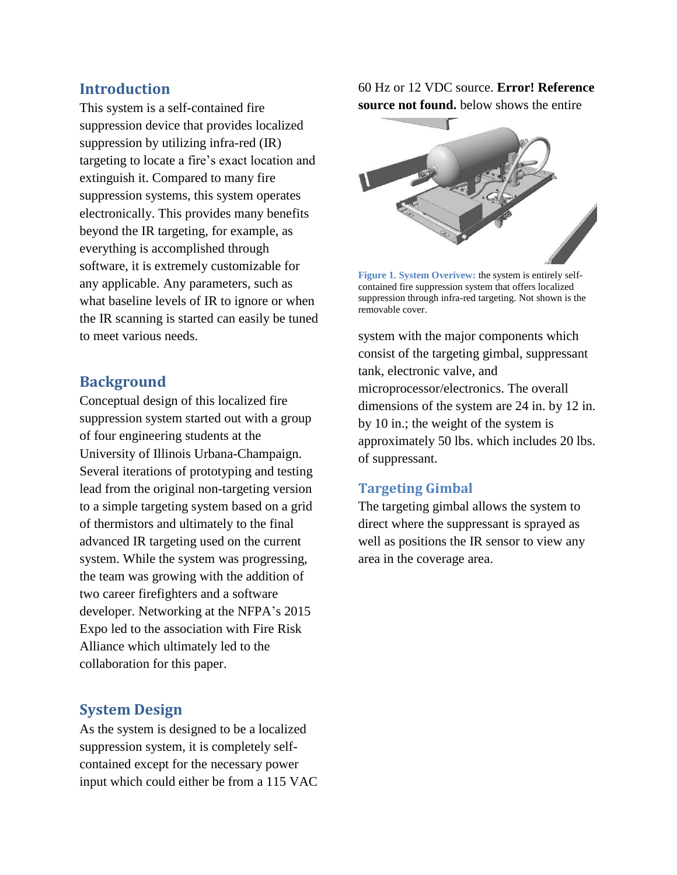#### **Introduction**

This system is a self-contained fire suppression device that provides localized suppression by utilizing infra-red (IR) targeting to locate a fire's exact location and extinguish it. Compared to many fire suppression systems, this system operates electronically. This provides many benefits beyond the IR targeting, for example, as everything is accomplished through software, it is extremely customizable for any applicable. Any parameters, such as what baseline levels of IR to ignore or when the IR scanning is started can easily be tuned to meet various needs.

### **Background**

Conceptual design of this localized fire suppression system started out with a group of four engineering students at the University of Illinois Urbana-Champaign. Several iterations of prototyping and testing lead from the original non-targeting version to a simple targeting system based on a grid of thermistors and ultimately to the final advanced IR targeting used on the current system. While the system was progressing, the team was growing with the addition of two career firefighters and a software developer. Networking at the NFPA's 2015 Expo led to the association with Fire Risk Alliance which ultimately led to the collaboration for this paper.

#### **System Design**

As the system is designed to be a localized suppression system, it is completely selfcontained except for the necessary power input which could either be from a 115 VAC 60 Hz or 12 VDC source. **Error! Reference source not found.** below shows the entire



**Figure 1. System Overivew:** the system is entirely selfcontained fire suppression system that offers localized suppression through infra-red targeting. Not shown is the removable cover.

system with the major components which consist of the targeting gimbal, suppressant tank, electronic valve, and microprocessor/electronics. The overall dimensions of the system are 24 in. by 12 in. by 10 in.; the weight of the system is approximately 50 lbs. which includes 20 lbs. of suppressant.

#### **Targeting Gimbal**

The targeting gimbal allows the system to direct where the suppressant is sprayed as well as positions the IR sensor to view any area in the coverage area.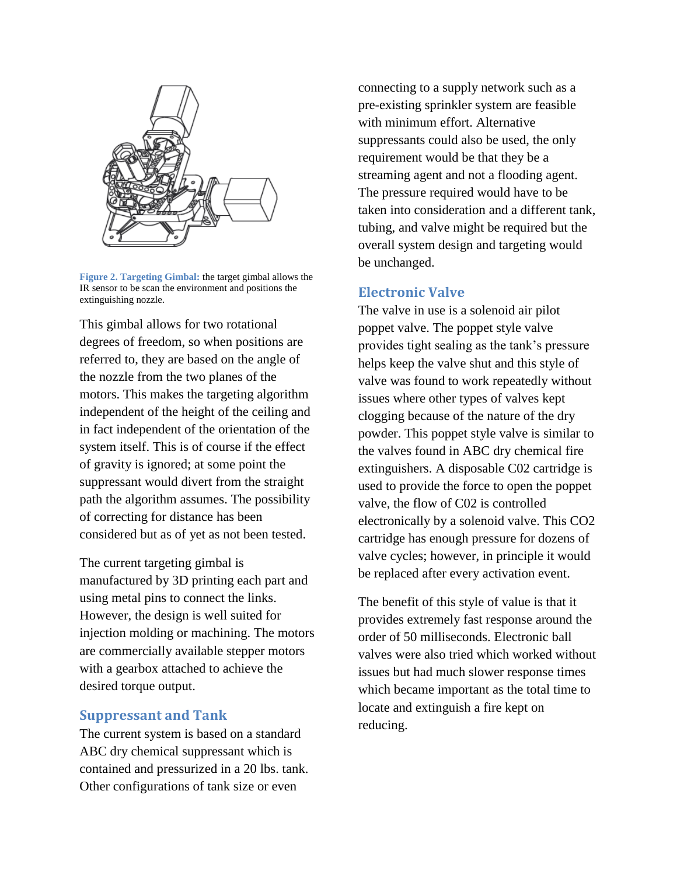

**Figure 2. Targeting Gimbal:** the target gimbal allows the IR sensor to be scan the environment and positions the extinguishing nozzle.

This gimbal allows for two rotational degrees of freedom, so when positions are referred to, they are based on the angle of the nozzle from the two planes of the motors. This makes the targeting algorithm independent of the height of the ceiling and in fact independent of the orientation of the system itself. This is of course if the effect of gravity is ignored; at some point the suppressant would divert from the straight path the algorithm assumes. The possibility of correcting for distance has been considered but as of yet as not been tested.

The current targeting gimbal is manufactured by 3D printing each part and using metal pins to connect the links. However, the design is well suited for injection molding or machining. The motors are commercially available stepper motors with a gearbox attached to achieve the desired torque output.

#### **Suppressant and Tank**

The current system is based on a standard ABC dry chemical suppressant which is contained and pressurized in a 20 lbs. tank. Other configurations of tank size or even

connecting to a supply network such as a pre-existing sprinkler system are feasible with minimum effort. Alternative suppressants could also be used, the only requirement would be that they be a streaming agent and not a flooding agent. The pressure required would have to be taken into consideration and a different tank, tubing, and valve might be required but the overall system design and targeting would be unchanged.

#### **Electronic Valve**

The valve in use is a solenoid air pilot poppet valve. The poppet style valve provides tight sealing as the tank's pressure helps keep the valve shut and this style of valve was found to work repeatedly without issues where other types of valves kept clogging because of the nature of the dry powder. This poppet style valve is similar to the valves found in ABC dry chemical fire extinguishers. A disposable C02 cartridge is used to provide the force to open the poppet valve, the flow of C02 is controlled electronically by a solenoid valve. This CO2 cartridge has enough pressure for dozens of valve cycles; however, in principle it would be replaced after every activation event.

The benefit of this style of value is that it provides extremely fast response around the order of 50 milliseconds. Electronic ball valves were also tried which worked without issues but had much slower response times which became important as the total time to locate and extinguish a fire kept on reducing.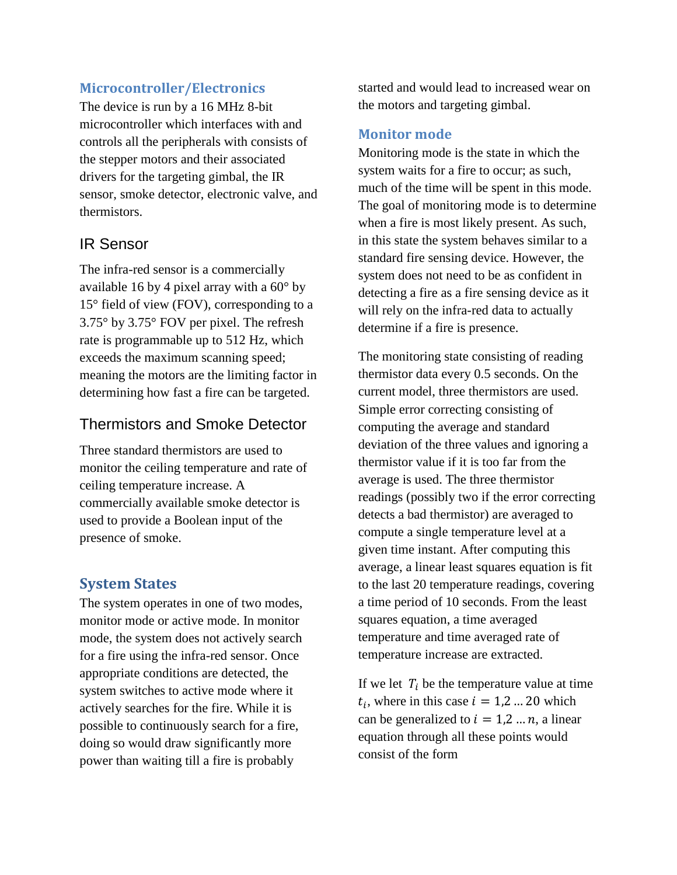## **Microcontroller/Electronics**

The device is run by a 16 MHz 8-bit microcontroller which interfaces with and controls all the peripherals with consists of the stepper motors and their associated drivers for the targeting gimbal, the IR sensor, smoke detector, electronic valve, and thermistors.

## IR Sensor

The infra-red sensor is a commercially available 16 by 4 pixel array with a 60° by 15° field of view (FOV), corresponding to a 3.75° by 3.75° FOV per pixel. The refresh rate is programmable up to 512 Hz, which exceeds the maximum scanning speed; meaning the motors are the limiting factor in determining how fast a fire can be targeted.

## Thermistors and Smoke Detector

Three standard thermistors are used to monitor the ceiling temperature and rate of ceiling temperature increase. A commercially available smoke detector is used to provide a Boolean input of the presence of smoke.

## **System States**

The system operates in one of two modes, monitor mode or active mode. In monitor mode, the system does not actively search for a fire using the infra-red sensor. Once appropriate conditions are detected, the system switches to active mode where it actively searches for the fire. While it is possible to continuously search for a fire, doing so would draw significantly more power than waiting till a fire is probably

started and would lead to increased wear on the motors and targeting gimbal.

#### **Monitor mode**

Monitoring mode is the state in which the system waits for a fire to occur; as such, much of the time will be spent in this mode. The goal of monitoring mode is to determine when a fire is most likely present. As such, in this state the system behaves similar to a standard fire sensing device. However, the system does not need to be as confident in detecting a fire as a fire sensing device as it will rely on the infra-red data to actually determine if a fire is presence.

The monitoring state consisting of reading thermistor data every 0.5 seconds. On the current model, three thermistors are used. Simple error correcting consisting of computing the average and standard deviation of the three values and ignoring a thermistor value if it is too far from the average is used. The three thermistor readings (possibly two if the error correcting detects a bad thermistor) are averaged to compute a single temperature level at a given time instant. After computing this average, a linear least squares equation is fit to the last 20 temperature readings, covering a time period of 10 seconds. From the least squares equation, a time averaged temperature and time averaged rate of temperature increase are extracted.

If we let  $T_i$  be the temperature value at time  $t_i$ , where in this case  $i = 1,2...20$  which can be generalized to  $i = 1, 2, ..., n$ , a linear equation through all these points would consist of the form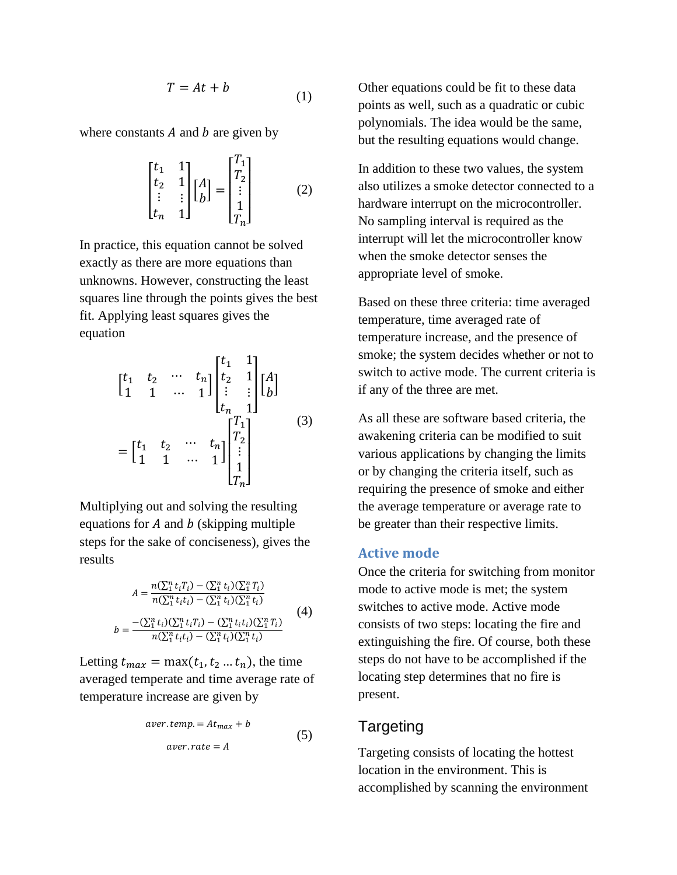$$
T = At + b \tag{1}
$$

where constants  $A$  and  $b$  are given by

$$
\begin{bmatrix} t_1 & 1 \\ t_2 & 1 \\ \vdots & \vdots \\ t_n & 1 \end{bmatrix} \begin{bmatrix} A \\ B \end{bmatrix} = \begin{bmatrix} T_1 \\ T_2 \\ \vdots \\ T_n \end{bmatrix}
$$
 (2)

In practice, this equation cannot be solved exactly as there are more equations than unknowns. However, constructing the least squares line through the points gives the best fit. Applying least squares gives the equation

$$
\begin{bmatrix} t_1 & t_2 & \cdots & t_n \\ 1 & 1 & \cdots & 1 \end{bmatrix} \begin{bmatrix} t_1 & 1 \\ t_2 & 1 \\ \vdots & \vdots \\ t_n & 1 \end{bmatrix} \begin{bmatrix} A \\ b \end{bmatrix}
$$

$$
= \begin{bmatrix} t_1 & t_2 & \cdots & t_n \\ 1 & 1 & \cdots & 1 \end{bmatrix} \begin{bmatrix} T_1 \\ T_2 \\ \vdots \\ T_n \end{bmatrix}
$$
(3)

Multiplying out and solving the resulting equations for  $A$  and  $b$  (skipping multiple steps for the sake of conciseness), gives the results

$$
A = \frac{n(\sum_{i=1}^{n} t_{i} T_{i}) - (\sum_{i=1}^{n} t_{i}) (\sum_{i=1}^{n} T_{i})}{n(\sum_{i=1}^{n} t_{i} t_{i}) - (\sum_{i=1}^{n} t_{i}) (\sum_{i=1}^{n} t_{i})}
$$
  

$$
b = \frac{-(\sum_{i=1}^{n} t_{i}) (\sum_{i=1}^{n} t_{i} T_{i}) - (\sum_{i=1}^{n} t_{i} t_{i}) (\sum_{i=1}^{n} T_{i})}{n(\sum_{i=1}^{n} t_{i} t_{i}) - (\sum_{i=1}^{n} t_{i}) (\sum_{i=1}^{n} t_{i})}
$$
(4)

Letting  $t_{max} = \max(t_1, t_2 ... t_n)$ , the time averaged temperate and time average rate of temperature increase are given by

$$
aver. temp. = At_{max} + b
$$
  
 
$$
aver. rate = A
$$
 (5)

Other equations could be fit to these data points as well, such as a quadratic or cubic polynomials. The idea would be the same, but the resulting equations would change.

In addition to these two values, the system also utilizes a smoke detector connected to a hardware interrupt on the microcontroller. No sampling interval is required as the interrupt will let the microcontroller know when the smoke detector senses the appropriate level of smoke.

Based on these three criteria: time averaged temperature, time averaged rate of temperature increase, and the presence of smoke; the system decides whether or not to switch to active mode. The current criteria is if any of the three are met.

As all these are software based criteria, the awakening criteria can be modified to suit various applications by changing the limits or by changing the criteria itself, such as requiring the presence of smoke and either the average temperature or average rate to be greater than their respective limits.

#### **Active mode**

Once the criteria for switching from monitor mode to active mode is met; the system switches to active mode. Active mode consists of two steps: locating the fire and extinguishing the fire. Of course, both these steps do not have to be accomplished if the locating step determines that no fire is present.

#### Targeting

Targeting consists of locating the hottest location in the environment. This is accomplished by scanning the environment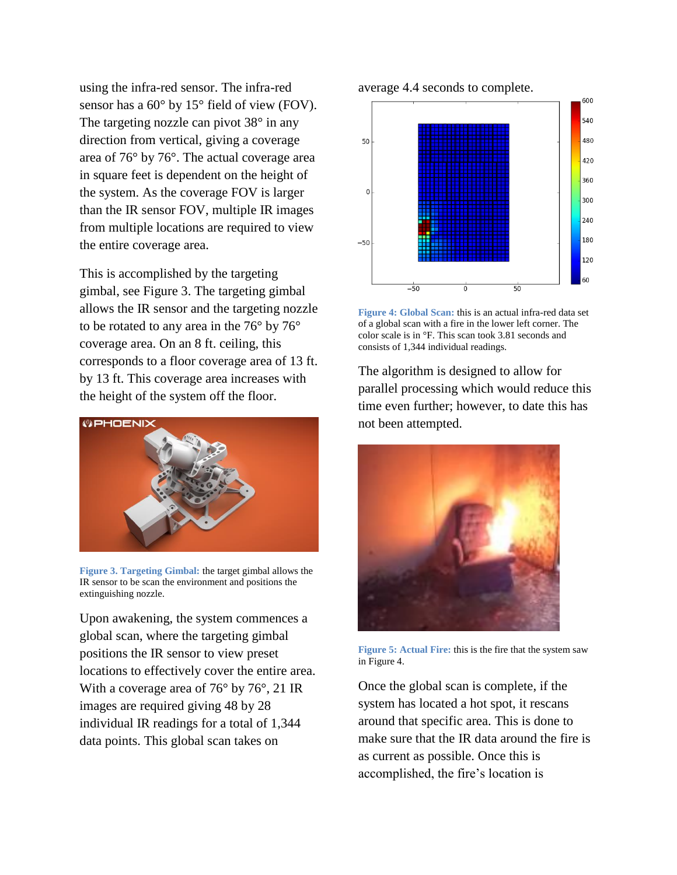using the infra-red sensor. The infra-red sensor has a 60° by 15° field of view (FOV). The targeting nozzle can pivot 38° in any direction from vertical, giving a coverage area of 76° by 76°. The actual coverage area in square feet is dependent on the height of the system. As the coverage FOV is larger than the IR sensor FOV, multiple IR images from multiple locations are required to view the entire coverage area.

This is accomplished by the targeting gimbal, see [Figure 3.](#page-5-0) The targeting gimbal allows the IR sensor and the targeting nozzle to be rotated to any area in the 76° by 76° coverage area. On an 8 ft. ceiling, this corresponds to a floor coverage area of 13 ft. by 13 ft. This coverage area increases with the height of the system off the floor.



**Figure 3. Targeting Gimbal:** the target gimbal allows the IR sensor to be scan the environment and positions the extinguishing nozzle.

<span id="page-5-0"></span>Upon awakening, the system commences a global scan, where the targeting gimbal positions the IR sensor to view preset locations to effectively cover the entire area. With a coverage area of 76° by 76°, 21 IR images are required giving 48 by 28 individual IR readings for a total of 1,344 data points. This global scan takes on

average 4.4 seconds to complete.



<span id="page-5-1"></span>**Figure 4: Global Scan:** this is an actual infra-red data set of a global scan with a fire in the lower left corner. The color scale is in °F. This scan took 3.81 seconds and consists of 1,344 individual readings.

The algorithm is designed to allow for parallel processing which would reduce this time even further; however, to date this has not been attempted.



**Figure 5: Actual Fire:** this is the fire that the system saw i[n Figure 4.](#page-5-1)

Once the global scan is complete, if the system has located a hot spot, it rescans around that specific area. This is done to make sure that the IR data around the fire is as current as possible. Once this is accomplished, the fire's location is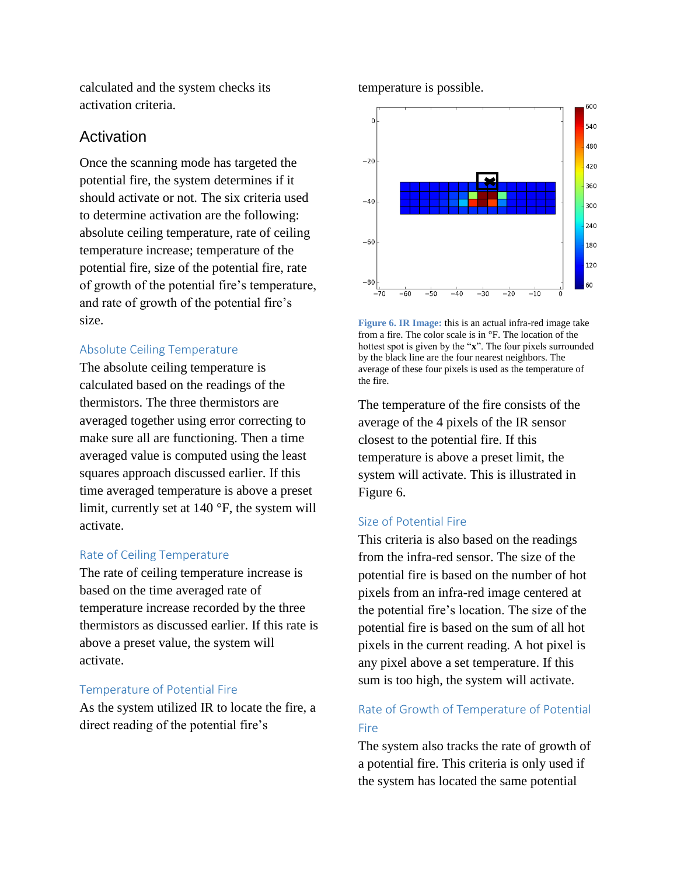calculated and the system checks its activation criteria.

## Activation

Once the scanning mode has targeted the potential fire, the system determines if it should activate or not. The six criteria used to determine activation are the following: absolute ceiling temperature, rate of ceiling temperature increase; temperature of the potential fire, size of the potential fire, rate of growth of the potential fire's temperature, and rate of growth of the potential fire's size.

#### Absolute Ceiling Temperature

The absolute ceiling temperature is calculated based on the readings of the thermistors. The three thermistors are averaged together using error correcting to make sure all are functioning. Then a time averaged value is computed using the least squares approach discussed earlier. If this time averaged temperature is above a preset limit, currently set at 140 °F, the system will activate.

#### Rate of Ceiling Temperature

The rate of ceiling temperature increase is based on the time averaged rate of temperature increase recorded by the three thermistors as discussed earlier. If this rate is above a preset value, the system will activate.

#### Temperature of Potential Fire

As the system utilized IR to locate the fire, a direct reading of the potential fire's

#### temperature is possible.



<span id="page-6-0"></span>**Figure 6. IR Image:** this is an actual infra-red image take from a fire. The color scale is in °F. The location of the hottest spot is given by the "**x**". The four pixels surrounded by the black line are the four nearest neighbors. The average of these four pixels is used as the temperature of the fire.

The temperature of the fire consists of the average of the 4 pixels of the IR sensor closest to the potential fire. If this temperature is above a preset limit, the system will activate. This is illustrated in [Figure 6.](#page-6-0)

#### Size of Potential Fire

This criteria is also based on the readings from the infra-red sensor. The size of the potential fire is based on the number of hot pixels from an infra-red image centered at the potential fire's location. The size of the potential fire is based on the sum of all hot pixels in the current reading. A hot pixel is any pixel above a set temperature. If this sum is too high, the system will activate.

## Rate of Growth of Temperature of Potential Fire

The system also tracks the rate of growth of a potential fire. This criteria is only used if the system has located the same potential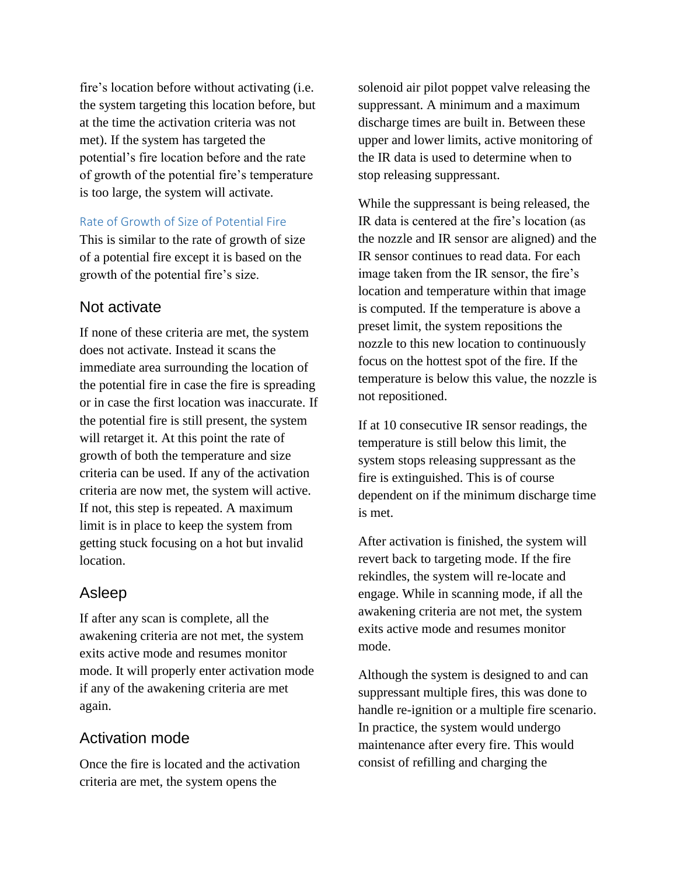fire's location before without activating (i.e. the system targeting this location before, but at the time the activation criteria was not met). If the system has targeted the potential's fire location before and the rate of growth of the potential fire's temperature is too large, the system will activate.

#### Rate of Growth of Size of Potential Fire

This is similar to the rate of growth of size of a potential fire except it is based on the growth of the potential fire's size.

#### Not activate

If none of these criteria are met, the system does not activate. Instead it scans the immediate area surrounding the location of the potential fire in case the fire is spreading or in case the first location was inaccurate. If the potential fire is still present, the system will retarget it. At this point the rate of growth of both the temperature and size criteria can be used. If any of the activation criteria are now met, the system will active. If not, this step is repeated. A maximum limit is in place to keep the system from getting stuck focusing on a hot but invalid location.

#### Asleep

If after any scan is complete, all the awakening criteria are not met, the system exits active mode and resumes monitor mode. It will properly enter activation mode if any of the awakening criteria are met again.

#### Activation mode

Once the fire is located and the activation criteria are met, the system opens the

solenoid air pilot poppet valve releasing the suppressant. A minimum and a maximum discharge times are built in. Between these upper and lower limits, active monitoring of the IR data is used to determine when to stop releasing suppressant.

While the suppressant is being released, the IR data is centered at the fire's location (as the nozzle and IR sensor are aligned) and the IR sensor continues to read data. For each image taken from the IR sensor, the fire's location and temperature within that image is computed. If the temperature is above a preset limit, the system repositions the nozzle to this new location to continuously focus on the hottest spot of the fire. If the temperature is below this value, the nozzle is not repositioned.

If at 10 consecutive IR sensor readings, the temperature is still below this limit, the system stops releasing suppressant as the fire is extinguished. This is of course dependent on if the minimum discharge time is met.

After activation is finished, the system will revert back to targeting mode. If the fire rekindles, the system will re-locate and engage. While in scanning mode, if all the awakening criteria are not met, the system exits active mode and resumes monitor mode.

Although the system is designed to and can suppressant multiple fires, this was done to handle re-ignition or a multiple fire scenario. In practice, the system would undergo maintenance after every fire. This would consist of refilling and charging the